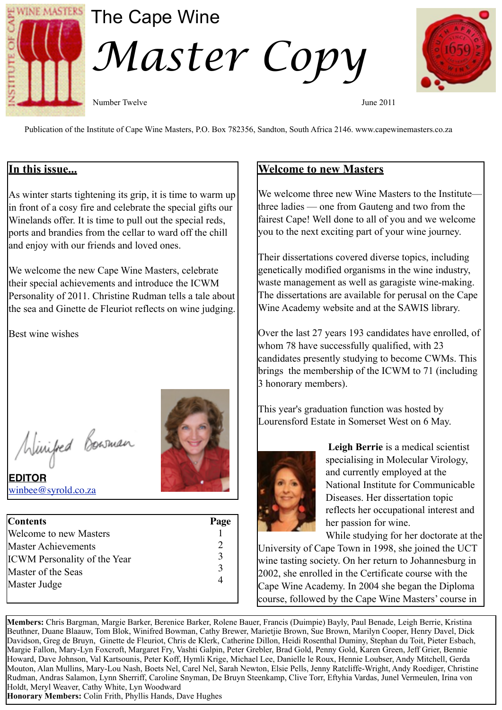

# The Cape Wine

*Master Copy* 



Publication of the Institute of Cape Wine Masters, P.O. Box 782356, Sandton, South Africa 2146. www.capewinemasters.co.za

## **In this issue...**

As winter starts tightening its grip, it is time to warm up in front of a cosy fire and celebrate the special gifts our Winelands offer. It is time to pull out the special reds, ports and brandies from the cellar to ward off the chill and enjoy with our friends and loved ones.

We welcome the new Cape Wine Masters, celebrate their special achievements and introduce the ICWM Personality of 2011. Christine Rudman tells a tale about the sea and Ginette de Fleuriot reflects on wine judging.

Best wine wishes

Winifed Bonsman

**EDITOR** [winbee@syrold.co.za](mailto:winbee@syrold.co.za)

| <b>Contents</b>                     | Page |
|-------------------------------------|------|
| <b>Welcome to new Masters</b>       |      |
| <b>Master Achievements</b>          |      |
| <b>ICWM</b> Personality of the Year |      |
| Master of the Seas                  |      |
| Master Judge                        |      |
|                                     |      |

# **Welcome to new Masters**

We welcome three new Wine Masters to the Institute three ladies — one from Gauteng and two from the fairest Cape! Well done to all of you and we welcome you to the next exciting part of your wine journey.

Their dissertations covered diverse topics, including genetically modified organisms in the wine industry, waste management as well as garagiste wine-making. The dissertations are available for perusal on the Cape Wine Academy website and at the SAWIS library.

Over the last 27 years 193 candidates have enrolled, of whom 78 have successfully qualified, with 23 candidates presently studying to become CWMs. This brings the membership of the ICWM to 71 (including 3 honorary members).

This year's graduation function was hosted by Lourensford Estate in Somerset West on 6 May.



**Leigh Berrie** is a medical scientist specialising in Molecular Virology, and currently employed at the National Institute for Communicable Diseases. Her dissertation topic reflects her occupational interest and her passion for wine.

While studying for her doctorate at the

University of Cape Town in 1998, she joined the UCT wine tasting society. On her return to Johannesburg in 2002, she enrolled in the Certificate course with the Cape Wine Academy. In 2004 she began the Diploma course, followed by the Cape Wine Masters' course in

**Members:** Chris Bargman, Margie Barker, Berenice Barker, Rolene Bauer, Francis (Duimpie) Bayly, Paul Benade, Leigh Berrie, Kristina Beuthner, Duane Blaauw, Tom Blok, Winifred Bowman, Cathy Brewer, Marietjie Brown, Sue Brown, Marilyn Cooper, Henry Davel, Dick Davidson, Greg de Bruyn, Ginette de Fleuriot, Chris de Klerk, Catherine Dillon, Heidi Rosenthal Duminy, Stephan du Toit, Pieter Esbach, Margie Fallon, Mary-Lyn Foxcroft, Margaret Fry, Vashti Galpin, Peter Grebler, Brad Gold, Penny Gold, Karen Green, Jeff Grier, Bennie Howard, Dave Johnson, Val Kartsounis, Peter Koff, Hymli Krige, Michael Lee, Danielle le Roux, Hennie Loubser, Andy Mitchell, Gerda Mouton, Alan Mullins, Mary-Lou Nash, Boets Nel, Carel Nel, Sarah Newton, Elsie Pells, Jenny Ratcliffe-Wright, Andy Roediger, Christine Rudman, Andras Salamon, Lynn Sherriff, Caroline Snyman, De Bruyn Steenkamp, Clive Torr, Eftyhia Vardas, Junel Vermeulen, Irina von Holdt, Meryl Weaver, Cathy White, Lyn Woodward

**Honorary Members:** Colin Frith, Phyllis Hands, Dave Hughes

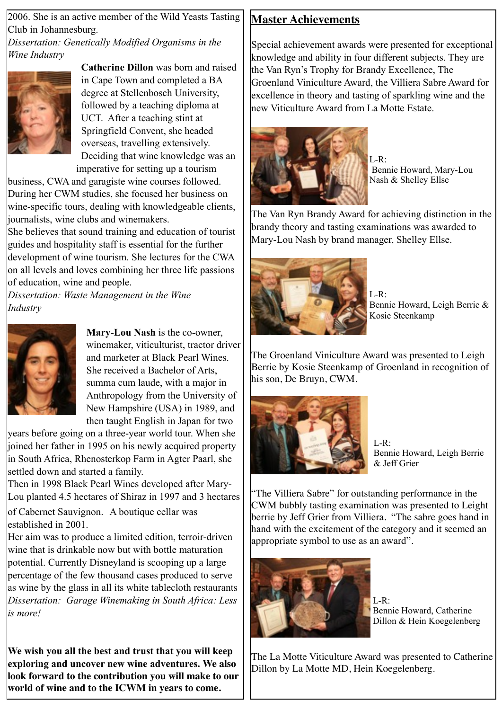2006. She is an active member of the Wild Yeasts Tasting Club in Johannesburg.

*Dissertation: Genetically Modified Organisms in the Wine Industry*



**Catherine Dillon** was born and raised in Cape Town and completed a BA degree at Stellenbosch University, followed by a teaching diploma at UCT. After a teaching stint at Springfield Convent, she headed overseas, travelling extensively. Deciding that wine knowledge was an imperative for setting up a tourism

business, CWA and garagiste wine courses followed. During her CWM studies, she focused her business on wine-specific tours, dealing with knowledgeable clients, journalists, wine clubs and winemakers.

She believes that sound training and education of tourist guides and hospitality staff is essential for the further development of wine tourism. She lectures for the CWA on all levels and loves combining her three life passions of education, wine and people.

*Dissertation: Waste Management in the Wine Industry*



**Mary-Lou Nash** is the co-owner, winemaker, viticulturist, tractor driver and marketer at Black Pearl Wines. She received a Bachelor of Arts, summa cum laude, with a major in Anthropology from the University of New Hampshire (USA) in 1989, and then taught English in Japan for two

years before going on a three-year world tour. When she joined her father in 1995 on his newly acquired property in South Africa, Rhenosterkop Farm in Agter Paarl, she settled down and started a family.

Then in 1998 Black Pearl Wines developed after Mary-Lou planted 4.5 hectares of Shiraz in 1997 and 3 hectares

of Cabernet Sauvignon. A boutique cellar was established in 2001.

Her aim was to produce a limited edition, terroir-driven wine that is drinkable now but with bottle maturation potential. Currently Disneyland is scooping up a large percentage of the few thousand cases produced to serve as wine by the glass in all its white tablecloth restaurants *Dissertation: Garage Winemaking in South Africa: Less is more!* 

**We wish you all the best and trust that you will keep exploring and uncover new wine adventures. We also look forward to the contribution you will make to our world of wine and to the ICWM in years to come.**

## **Master Achievements**

Special achievement awards were presented for exceptional knowledge and ability in four different subjects. They are the Van Ryn's Trophy for Brandy Excellence, The Groenland Viniculture Award, the Villiera Sabre Award for excellence in theory and tasting of sparkling wine and the new Viticulture Award from La Motte Estate.



 $L-R$  Bennie Howard, Mary-Lou Nash & Shelley Ellse

The Van Ryn Brandy Award for achieving distinction in the brandy theory and tasting examinations was awarded to Mary-Lou Nash by brand manager, Shelley Ellse.



 $L-R$ Bennie Howard, Leigh Berrie & Kosie Steenkamp

The Groenland Viniculture Award was presented to Leigh Berrie by Kosie Steenkamp of Groenland in recognition of his son, De Bruyn, CWM.



L-R: Bennie Howard, Leigh Berrie & Jeff Grier

"The Villiera Sabre" for outstanding performance in the CWM bubbly tasting examination was presented to Leight berrie by Jeff Grier from Villiera. "The sabre goes hand in hand with the excitement of the category and it seemed an appropriate symbol to use as an award".



L-R: Bennie Howard, Catherine Dillon & Hein Koegelenberg

The La Motte Viticulture Award was presented to Catherine Dillon by La Motte MD, Hein Koegelenberg.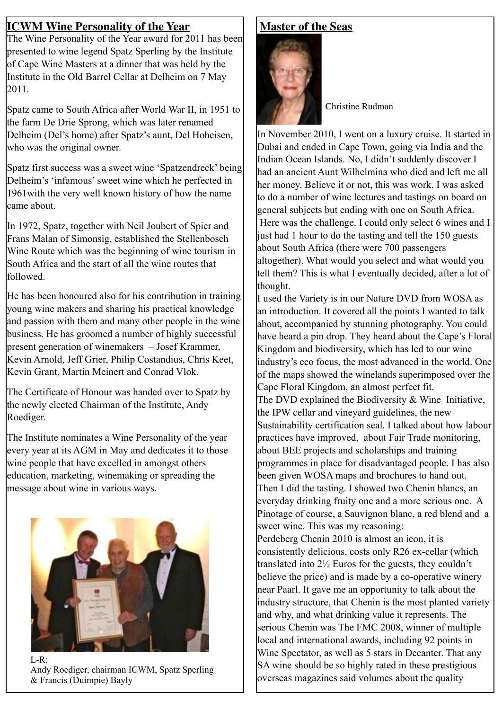## **ICWM Wine Personality of the Year**

The Wine Personality of the Year award for 2011 has been presented to wine legend Spatz Sperling by the Institute of Cape Wine Masters at a dinner that was held by the Institute in the Old Barrel Cellar at Delheim on 7 May 2011.

Spatz came to South Africa after World War II, in 1951 to the farm De Drie Sprong, which was later renamed Delheim (Del's home) after Spatz's aunt, Del Hoheisen, who was the original owner.

Spatz first success was a sweet wine 'Spatzendreck' being Delheim's 'infamous' sweet wine which he perfected in 1961with the very well known history of how the name came about.

In 1972, Spatz, together with Neil Joubert of Spier and Frans Malan of Simonsig, established the Stellenbosch Wine Route which was the beginning of wine tourism in South Africa and the start of all the wine routes that followed.

He has been honoured also for his contribution in training young wine makers and sharing his practical knowledge and passion with them and many other people in the wine business. He has groomed a number of highly successful present generation of winemakers – Josef Krammer, Kevin Arnold, Jeff Grier, Philip Costandius, Chris Keet, Kevin Grant, Martin Meinert and Conrad Vlok.

The Certificate of Honour was handed over to Spatz by the newly elected Chairman of the Institute, Andy Roediger.

The Institute nominates a Wine Personality of the year every year at its AGM in May and dedicates it to those wine people that have excelled in amongst others education, marketing, winemaking or spreading the message about wine in various ways.



L-R: Andy Roediger, chairman ICWM, Spatz Sperling & Francis (Duimpie) Bayly

# **Master of the Seas**



Christine Rudman

In November 2010, I went on a luxury cruise. It started in Dubai and ended in Cape Town, going via India and the Indian Ocean Islands. No, I didn't suddenly discover I had an ancient Aunt Wilhelmina who died and left me all her money. Believe it or not, this was work. I was asked to do a number of wine lectures and tastings on board on general subjects but ending with one on South Africa. Here was the challenge. I could only select 6 wines and I just had 1 hour to do the tasting and tell the 150 guests about South Africa (there were 700 passengers altogether). What would you select and what would you tell them? This is what I eventually decided, after a lot of thought.

I used the Variety is in our Nature DVD from WOSA as an introduction. It covered all the points I wanted to talk about, accompanied by stunning photography. You could have heard a pin drop. They heard about the Cape's Floral Kingdom and biodiversity, which has led to our wine industry's eco focus, the most advanced in the world. One of the maps showed the winelands superimposed over the Cape Floral Kingdom, an almost perfect fit. The DVD explained the Biodiversity & Wine Initiative, the IPW cellar and vineyard guidelines, the new Sustainability certification seal. I talked about how labour practices have improved, about Fair Trade monitoring, about BEE projects and scholarships and training programmes in place for disadvantaged people. I has also been given WOSA maps and brochures to hand out. Then I did the tasting. I showed two Chenin blancs, an everyday drinking fruity one and a more serious one. A Pinotage of course, a Sauvignon blanc, a red blend and a sweet wine. This was my reasoning: Perdeberg Chenin 2010 is almost an icon, it is consistently delicious, costs only R26 ex-cellar (which translated into 2½ Euros for the guests, they couldn't believe the price) and is made by a co-operative winery near Paarl. It gave me an opportunity to talk about the

industry structure, that Chenin is the most planted variety and why, and what drinking value it represents. The serious Chenin was The FMC 2008, winner of multiple local and international awards, including 92 points in Wine Spectator, as well as 5 stars in Decanter. That any SA wine should be so highly rated in these prestigious overseas magazines said volumes about the quality